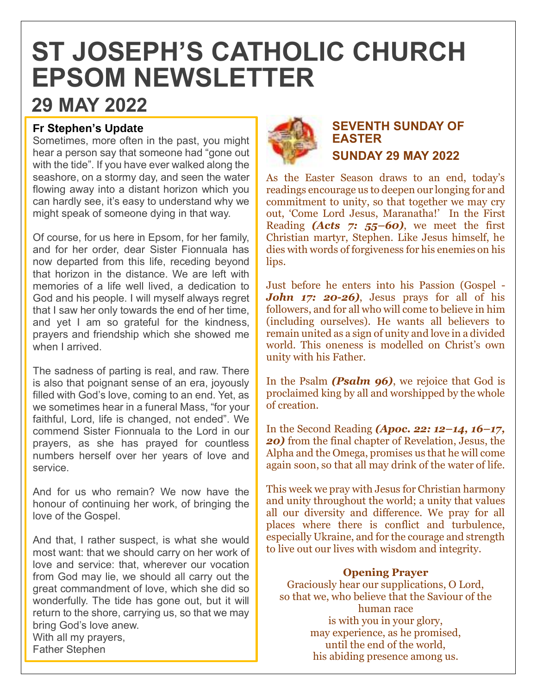# **ST JOSEPH'S CATHOLIC CHURCH EPSOM NEWSLETTER 29 MAY 2022**

# **Fr Stephen's Update**

Sometimes, more often in the past, you might hear a person say that someone had "gone out with the tide". If you have ever walked along the seashore, on a stormy day, and seen the water flowing away into a distant horizon which you can hardly see, it's easy to understand why we might speak of someone dying in that way.

Of course, for us here in Epsom, for her family, and for her order, dear Sister Fionnuala has now departed from this life, receding beyond that horizon in the distance. We are left with memories of a life well lived, a dedication to God and his people. I will myself always regret that I saw her only towards the end of her time, and yet I am so grateful for the kindness, prayers and friendship which she showed me when I arrived

The sadness of parting is real, and raw. There is also that poignant sense of an era, joyously filled with God's love, coming to an end. Yet, as we sometimes hear in a funeral Mass, "for your faithful, Lord, life is changed, not ended". We commend Sister Fionnuala to the Lord in our prayers, as she has prayed for countless numbers herself over her years of love and service.

And for us who remain? We now have the honour of continuing her work, of bringing the love of the Gospel.

And that, I rather suspect, is what she would most want: that we should carry on her work of love and service: that, wherever our vocation from God may lie, we should all carry out the great commandment of love, which she did so wonderfully. The tide has gone out, but it will return to the shore, carrying us, so that we may bring God's love anew. With all my prayers,

Father Stephen



# **SEVENTH SUNDAY OF EASTER SUNDAY 29 MAY 2022**

As the Easter Season draws to an end, today's readings encourage us to deepen our longing for and commitment to unity, so that together we may cry out, 'Come Lord Jesus, Maranatha!' In the First Reading *(Acts 7: 55–60)*, we meet the first Christian martyr, Stephen. Like Jesus himself, he dies with words of forgiveness for his enemies on his lips.

Just before he enters into his Passion (Gospel - *John 17: 20-26)*, Jesus prays for all of his followers, and for all who will come to believe in him (including ourselves). He wants all believers to remain united as a sign of unity and love in a divided world. This oneness is modelled on Christ's own unity with his Father.

In the Psalm *(Psalm 96)*, we rejoice that God is proclaimed king by all and worshipped by the whole of creation.

In the Second Reading *(Apoc. 22: 12–14, 16–17, 20)* from the final chapter of Revelation, Jesus, the Alpha and the Omega, promises us that he will come again soon, so that all may drink of the water of life.

This week we pray with Jesus for Christian harmony and unity throughout the world; a unity that values all our diversity and difference. We pray for all places where there is conflict and turbulence, especially Ukraine, and for the courage and strength to live out our lives with wisdom and integrity.

## **Opening Prayer**

Graciously hear our supplications, O Lord, so that we, who believe that the Saviour of the human race is with you in your glory, may experience, as he promised, until the end of the world, his abiding presence among us.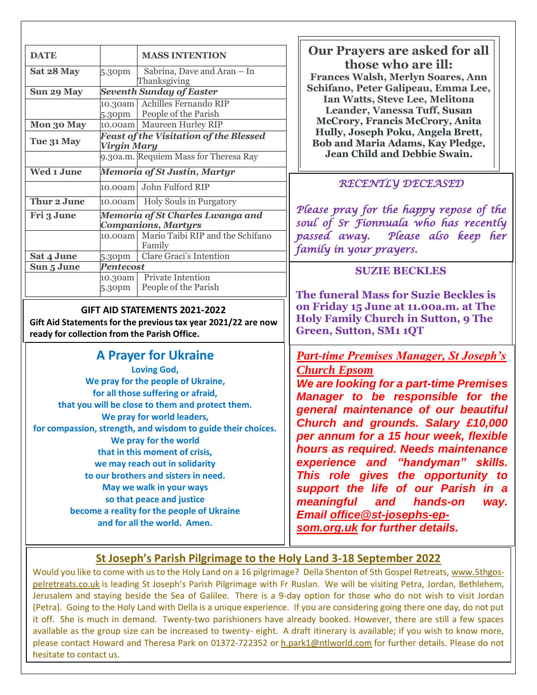| <b>DATE</b> | <b>MASS INTENTION</b>                                                                                                                                                                                                                                                                                                                                                                                                                                                                                                                                       | <b>Our Prayers are asked for all</b><br>those who are ill:<br><b>Frances Walsh, Merlyn Soares, Ann</b><br>Schifano, Peter Galipeau, Emma Lee,<br>Ian Watts, Steve Lee, Melitona<br>Leander, Vanessa Tuff, Susan<br><b>McCrory, Francis McCrory, Anita</b><br>Hully, Joseph Poku, Angela Brett,<br><b>Bob and Maria Adams, Kay Pledge,</b>                                                                                                                                                                                                           |
|-------------|-------------------------------------------------------------------------------------------------------------------------------------------------------------------------------------------------------------------------------------------------------------------------------------------------------------------------------------------------------------------------------------------------------------------------------------------------------------------------------------------------------------------------------------------------------------|-----------------------------------------------------------------------------------------------------------------------------------------------------------------------------------------------------------------------------------------------------------------------------------------------------------------------------------------------------------------------------------------------------------------------------------------------------------------------------------------------------------------------------------------------------|
| Sat 28 May  | Sabrina, Dave and Aran - In<br>5.30pm<br>Thanksgiving                                                                                                                                                                                                                                                                                                                                                                                                                                                                                                       |                                                                                                                                                                                                                                                                                                                                                                                                                                                                                                                                                     |
| Sun 29 May  | <b>Seventh Sunday of Easter</b>                                                                                                                                                                                                                                                                                                                                                                                                                                                                                                                             |                                                                                                                                                                                                                                                                                                                                                                                                                                                                                                                                                     |
|             | Achilles Fernando RIP<br>10.30am<br>People of the Parish<br>5.30pm                                                                                                                                                                                                                                                                                                                                                                                                                                                                                          |                                                                                                                                                                                                                                                                                                                                                                                                                                                                                                                                                     |
| Mon 30 May  | 10.00am Maureen Hurley RIP                                                                                                                                                                                                                                                                                                                                                                                                                                                                                                                                  |                                                                                                                                                                                                                                                                                                                                                                                                                                                                                                                                                     |
| Tue 31 May  | <b>Feast of the Visitation of the Blessed</b><br><b>Virgin Mary</b>                                                                                                                                                                                                                                                                                                                                                                                                                                                                                         |                                                                                                                                                                                                                                                                                                                                                                                                                                                                                                                                                     |
|             | 9.30a.m. Requiem Mass for Theresa Ray                                                                                                                                                                                                                                                                                                                                                                                                                                                                                                                       | Jean Child and Debbie Swain.                                                                                                                                                                                                                                                                                                                                                                                                                                                                                                                        |
| Wed 1 June  | Memoria of St Justin, Martyr                                                                                                                                                                                                                                                                                                                                                                                                                                                                                                                                | RECENTLY DECEASED<br>Please pray for the happy repose of the<br>soul of Sr Fionnuala who has recently                                                                                                                                                                                                                                                                                                                                                                                                                                               |
|             | 10.00am John Fulford RIP                                                                                                                                                                                                                                                                                                                                                                                                                                                                                                                                    |                                                                                                                                                                                                                                                                                                                                                                                                                                                                                                                                                     |
| Thur 2 June | 10.00am Holy Souls in Purgatory                                                                                                                                                                                                                                                                                                                                                                                                                                                                                                                             |                                                                                                                                                                                                                                                                                                                                                                                                                                                                                                                                                     |
| Fri 3 June  | Memoria of St Charles Lwanga and<br><b>Companions, Martyrs</b>                                                                                                                                                                                                                                                                                                                                                                                                                                                                                              |                                                                                                                                                                                                                                                                                                                                                                                                                                                                                                                                                     |
|             | Mario Taibi RIP and the Schifano<br>10.00am<br>Family                                                                                                                                                                                                                                                                                                                                                                                                                                                                                                       | passed away. Please also keep her                                                                                                                                                                                                                                                                                                                                                                                                                                                                                                                   |
| Sat 4 June  | Clare Graci's Intention<br>5.30pm                                                                                                                                                                                                                                                                                                                                                                                                                                                                                                                           | family in your prayers.                                                                                                                                                                                                                                                                                                                                                                                                                                                                                                                             |
| Sun 5 June  | <b>Pentecost</b>                                                                                                                                                                                                                                                                                                                                                                                                                                                                                                                                            | <b>SUZIE BECKLES</b>                                                                                                                                                                                                                                                                                                                                                                                                                                                                                                                                |
|             | <b>Private Intention</b><br>10.30am<br>People of the Parish<br>5.30pm                                                                                                                                                                                                                                                                                                                                                                                                                                                                                       | <b>The funeral Mass for Suzie Beckles is</b>                                                                                                                                                                                                                                                                                                                                                                                                                                                                                                        |
|             | <b>GIFT AID STATEMENTS 2021-2022</b><br>Gift Aid Statements for the previous tax year 2021/22 are now<br>ready for collection from the Parish Office.                                                                                                                                                                                                                                                                                                                                                                                                       | on Friday 15 June at 11.00a.m. at The<br><b>Holy Family Church in Sutton, 9 The</b><br>Green, Sutton, SM1 1QT                                                                                                                                                                                                                                                                                                                                                                                                                                       |
|             | <b>A Prayer for Ukraine</b><br><b>Loving God,</b><br>We pray for the people of Ukraine,<br>for all those suffering or afraid,<br>that you will be close to them and protect them.<br>We pray for world leaders,<br>for compassion, strength, and wisdom to guide their choices.<br>We pray for the world<br>that in this moment of crisis,<br>we may reach out in solidarity<br>to our brothers and sisters in need.<br>May we walk in your ways<br>so that peace and justice<br>become a reality for the people of Ukraine<br>and for all the world. Amen. | <b>Part-time Premises Manager, St Joseph's</b><br><b>Church Epsom</b><br>We are looking for a part-time Premises<br>Manager to be responsible for the<br>general maintenance of our beautiful<br>Church and grounds. Salary £10,000<br>per annum for a 15 hour week, flexible<br>hours as required. Needs maintenance<br>experience and "handyman" skills.<br>This role gives the opportunity to<br>support the life of our Parish in a<br>meaningful<br>and<br>hands-on<br>way.<br>Email office @st-josephs-ep-<br>som.org.uk for further details. |

# **St Joseph's Parish Pilgrimage to the Holy Land 3-18 September 2022**

Would you like to come with us to the Holy Land on a 16 pilgrimage? Della Shenton of 5th Gospel Retreats, [www.5thgos](http://www.5thgospelretreats.co.uk/)[pelretreats.co.uk](http://www.5thgospelretreats.co.uk/) is leading St Joseph's Parish Pilgrimage with Fr Ruslan. We will be visiting Petra, Jordan, Bethlehem, Jerusalem and staying beside the Sea of Galilee. There is a 9-day option for those who do not wish to visit Jordan (Petra). Going to the Holy Land with Della is a unique experience. If you are considering going there one day, do not put it off. She is much in demand. Twenty-two parishioners have already booked. However, there are still a few spaces available as the group size can be increased to twenty- eight. A draft itinerary is available; if you wish to know more, please contact Howard and Theresa Park on 01372-722352 or [h.park1@ntlworld.com](mailto:h.park1@ntlworld.com) for further details. Please do not hesitate to contact us.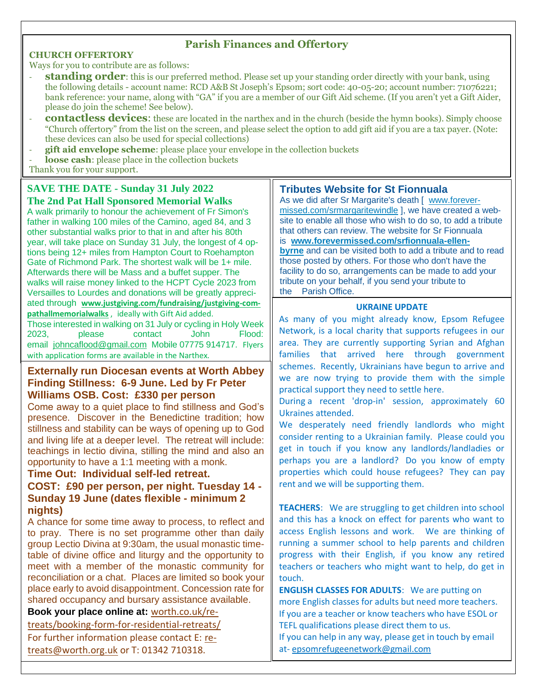## **Parish Finances and Offertory**

#### **CHURCH OFFERTORY**

Ways for you to contribute are as follows:

- **standing order**: this is our preferred method. Please set up your standing order directly with your bank, using the following details - account name: RCD A&B St Joseph's Epsom; sort code: 40-05-20; account number: 71076221; bank reference: your name, along with "GA" if you are a member of our Gift Aid scheme. (If you aren't yet a Gift Aider, please do join the scheme! See below).
- **contactless devices**: these are located in the narthex and in the church (beside the hymn books). Simply choose "Church offertory" from the list on the screen, and please select the option to add gift aid if you are a tax payer. (Note: these devices can also be used for special collections)
- **gift aid envelope scheme**: please place your envelope in the collection buckets
- **loose cash**: please place in the collection buckets
- Thank you for your support.

## **SAVE THE DATE - Sunday 31 July 2022 The 2nd Pat Hall Sponsored Memorial Walks**

A walk primarily to honour the achievement of Fr Simon's father in walking 100 miles of the Camino, aged 84, and 3 other substantial walks prior to that in and after his 80th year, will take place on Sunday 31 July, the longest of 4 options being 12+ miles from Hampton Court to Roehampton Gate of Richmond Park. The shortest walk will be 1+ mile. Afterwards there will be Mass and a buffet supper. The walks will raise money linked to the HCPT Cycle 2023 from Versailles to Lourdes and donations will be greatly appreciated through **[www.justgiving.com/fundraising/justgiving-com](http://www.justgiving.com/fundraising/justgiving-compathallmemorialwalks)[pathallmemorialwalks](http://www.justgiving.com/fundraising/justgiving-compathallmemorialwalks)** , ideally with Gift Aid added. Those interested in walking on 31 July or cycling in Holy Week 2023, please contact John Flood: email [johncaflood@gmail.com](mailto:johncaflood@gmail.com) Mobile 07775 914717. Flyers

with application forms are available in the Narthex.

## **Externally run Diocesan events at Worth Abbey Finding Stillness: 6-9 June. Led by Fr Peter Williams OSB. Cost: £330 per person**

Come away to a quiet place to find stillness and God's presence. Discover in the Benedictine tradition; how stillness and stability can be ways of opening up to God and living life at a deeper level. The retreat will include: teachings in lectio divina, stilling the mind and also an opportunity to have a 1:1 meeting with a monk.

## **Time Out: Individual self-led retreat.**

## **COST: £90 per person, per night. Tuesday 14 - Sunday 19 June (dates flexible - minimum 2 nights)**

A chance for some time away to process, to reflect and to pray. There is no set programme other than daily group Lectio Divina at 9:30am, the usual monastic timetable of divine office and liturgy and the opportunity to meet with a member of the monastic community for reconciliation or a chat. Places are limited so book your place early to avoid disappointment. Concession rate for shared occupancy and bursary assistance available.

**Book your place online at:** [worth.co.uk/re](https://eur02.safelinks.protection.outlook.com/?url=http%3A%2F%2Fwww.worth.co.uk%2Fretreats%2Fbooking-form-for-residential-retreats%2F&data=05%7C01%7Camanda.jones%40abdiocese.org.uk%7Cfa052ed90cc64e5245c408da32866f47%7C2bf5dbc217ef4efca1c9ab2dc4edefd0%7C0%7C0%7C637877850216791122%7CUnknown%7CTWFpbGZsb3d8eyJWIjoiMC4wLjAwMDAiLCJQIjoiV2luMzIiLCJBTiI6Ik1haWwiLCJXVCI6Mn0%3D%7C3000%7C%7C%7C&sdata=V976UyyfoD5iVQNxB483hG%2F%2FUu4Z%2BzNnSle8mjQHG4o%3D&reserved=0)[treats/booking-form-for-residential-retreats/](https://eur02.safelinks.protection.outlook.com/?url=http%3A%2F%2Fwww.worth.co.uk%2Fretreats%2Fbooking-form-for-residential-retreats%2F&data=05%7C01%7Camanda.jones%40abdiocese.org.uk%7Cfa052ed90cc64e5245c408da32866f47%7C2bf5dbc217ef4efca1c9ab2dc4edefd0%7C0%7C0%7C637877850216791122%7CUnknown%7CTWFpbGZsb3d8eyJWIjoiMC4wLjAwMDAiLCJQIjoiV2luMzIiLCJBTiI6Ik1haWwiLCJXVCI6Mn0%3D%7C3000%7C%7C%7C&sdata=V976UyyfoD5iVQNxB483hG%2F%2FUu4Z%2BzNnSle8mjQHG4o%3D&reserved=0)  For further information please contact E: [re](mailto:retreats@worth.org.uk)[treats@worth.org.uk](mailto:retreats@worth.org.uk) or T: 01342 710318.

#### **Tributes Website for St Fionnuala**

As we did after Sr Margarite's death [ [www.forever](http://www.forevermissed.com/srmargaritewindle)[missed.com/srmargaritewindle](http://www.forevermissed.com/srmargaritewindle) ], we have created a website to enable all those who wish to do so, to add a tribute that others can review. The website for Sr Fionnuala is **[www.forevermissed.com/srfionnuala-ellen-](http://www.forevermissed.com/srfionnuala-ellen-byrne)**

**[byrne](http://www.forevermissed.com/srfionnuala-ellen-byrne)** and can be visited both to add a tribute and to read those posted by others. For those who don't have the facility to do so, arrangements can be made to add your tribute on your behalf, if you send your tribute to the Parish Office.

#### **UKRAINE UPDATE**

As many of you might already know, Epsom Refugee Network, is a local charity that supports refugees in our area. They are currently supporting Syrian and Afghan families that arrived here through government schemes. Recently, Ukrainians have begun to arrive and we are now trying to provide them with the simple practical support they need to settle here.

During a recent 'drop-in' session, approximately 60 Ukraines attended.

We desperately need friendly landlords who might consider renting to a Ukrainian family. Please could you get in touch if you know any landlords/landladies or perhaps you are a landlord? Do you know of empty properties which could house refugees? They can pay rent and we will be supporting them.

**TEACHERS**: We are struggling to get children into school and this has a knock on effect for parents who want to access English lessons and work. We are thinking of running a summer school to help parents and children progress with their English, if you know any retired teachers or teachers who might want to help, do get in touch.

**ENGLISH CLASSES FOR ADULTS**: We are putting on more English classes for adults but need more teachers. If you are a teacher or know teachers who have ESOL or TEFL qualifications please direct them to us.

If you can help in any way, please get in touch by email at- [epsomrefugeenetwork@gmail.com](mailto:epsomrefugeenetwork@gmail.com)